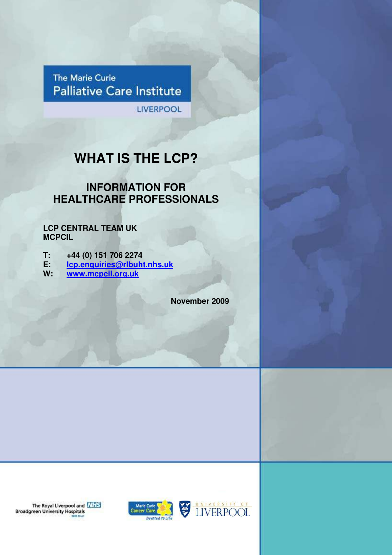The Marie Curie **Palliative Care Institute** 

**LIVERPOOL** 

# **WHAT IS THE LCP?**

## **INFORMATION FOR HEALTHCARE PROFESSIONALS**

**LCP CENTRAL TEAM UK MCPCIL** 

**T: +44 (0) 151 706 2274** 

**E: lcp.enquiries@rlbuht.nhs.uk**

**W: www.mcpcil.org.uk**

**November 2009**

The Royal Liverpool and **NHS**<br>Broadgreen University Hospitals





© Marie Curie Palliative Care Institute Liverpool Page 1 of 6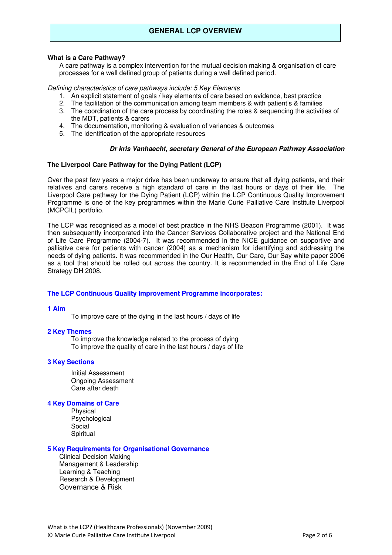## **GENERAL LCP OVERVIEW**

#### **What is a Care Pathway?**

A care pathway is a complex intervention for the mutual decision making & organisation of care processes for a well defined group of patients during a well defined period.

#### Defining characteristics of care pathways include: 5 Key Elements

- 1. An explicit statement of goals / key elements of care based on evidence, best practice
- 2. The facilitation of the communication among team members & with patient's & families
- 3. The coordination of the care process by coordinating the roles & sequencing the activities of the MDT, patients & carers
- 4. The documentation, monitoring & evaluation of variances & outcomes
- 5. The identification of the appropriate resources

#### **Dr kris Vanhaecht, secretary General of the European Pathway Association**

#### **The Liverpool Care Pathway for the Dying Patient (LCP)**

Over the past few years a major drive has been underway to ensure that all dying patients, and their relatives and carers receive a high standard of care in the last hours or days of their life. The Liverpool Care pathway for the Dying Patient (LCP) within the LCP Continuous Quality Improvement Programme is one of the key programmes within the Marie Curie Palliative Care Institute Liverpool (MCPCIL) portfolio.

The LCP was recognised as a model of best practice in the NHS Beacon Programme (2001). It was then subsequently incorporated into the Cancer Services Collaborative project and the National End of Life Care Programme (2004-7). It was recommended in the NICE guidance on supportive and palliative care for patients with cancer (2004) as a mechanism for identifying and addressing the needs of dying patients. It was recommended in the Our Health, Our Care, Our Say white paper 2006 as a tool that should be rolled out across the country. It is recommended in the End of Life Care Strategy DH 2008.

#### **The LCP Continuous Quality Improvement Programme incorporates:**

#### **1 Aim**

To improve care of the dying in the last hours / days of life

#### **2 Key Themes**

To improve the knowledge related to the process of dying To improve the quality of care in the last hours / days of life

#### **3 Key Sections**

Initial Assessment Ongoing Assessment Care after death

#### **4 Key Domains of Care**

Physical Psychological Social **Spiritual** 

#### **5 Key Requirements for Organisational Governance**

Clinical Decision Making Management & Leadership Learning & Teaching Research & Development Governance & Risk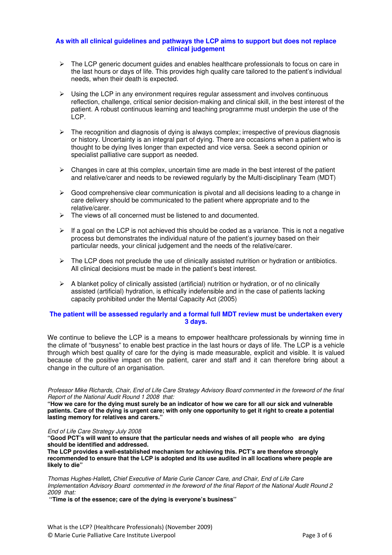#### **As with all clinical guidelines and pathways the LCP aims to support but does not replace clinical judgement**

- $\triangleright$  The LCP generic document guides and enables healthcare professionals to focus on care in the last hours or days of life. This provides high quality care tailored to the patient's individual needs, when their death is expected.
- $\triangleright$  Using the LCP in any environment requires regular assessment and involves continuous reflection, challenge, critical senior decision-making and clinical skill, in the best interest of the patient. A robust continuous learning and teaching programme must underpin the use of the LCP.
- $\triangleright$  The recognition and diagnosis of dying is always complex; irrespective of previous diagnosis or history. Uncertainty is an integral part of dying. There are occasions when a patient who is thought to be dying lives longer than expected and vice versa. Seek a second opinion or specialist palliative care support as needed.
- $\triangleright$  Changes in care at this complex, uncertain time are made in the best interest of the patient and relative/carer and needs to be reviewed regularly by the Multi-disciplinary Team (MDT)
- $\triangleright$  Good comprehensive clear communication is pivotal and all decisions leading to a change in care delivery should be communicated to the patient where appropriate and to the relative/carer.
- $\triangleright$  The views of all concerned must be listened to and documented.
- $\triangleright$  If a goal on the LCP is not achieved this should be coded as a variance. This is not a negative process but demonstrates the individual nature of the patient's journey based on their particular needs, your clinical judgement and the needs of the relative/carer.
- $\triangleright$  The LCP does not preclude the use of clinically assisted nutrition or hydration or antibiotics. All clinical decisions must be made in the patient's best interest.
- $\triangleright$  A blanket policy of clinically assisted (artificial) nutrition or hydration, or of no clinically assisted (artificial) hydration, is ethically indefensible and in the case of patients lacking capacity prohibited under the Mental Capacity Act (2005)

#### **The patient will be assessed regularly and a formal full MDT review must be undertaken every 3 days.**

We continue to believe the LCP is a means to empower healthcare professionals by winning time in the climate of "busyness" to enable best practice in the last hours or days of life. The LCP is a vehicle through which best quality of care for the dying is made measurable, explicit and visible. It is valued because of the positive impact on the patient, carer and staff and it can therefore bring about a change in the culture of an organisation.

Professor Mike Richards, Chair, End of Life Care Strategy Advisory Board commented in the foreword of the final Report of the National Audit Round 1 2008 that:

**"How we care for the dying must surely be an indicator of how we care for all our sick and vulnerable patients. Care of the dying is urgent care; with only one opportunity to get it right to create a potential lasting memory for relatives and carers."**

End of Life Care Strategy July 2008

**"Good PCT's will want to ensure that the particular needs and wishes of all people who are dying should be identified and addressed.** 

**The LCP provides a well-established mechanism for achieving this. PCT's are therefore strongly recommended to ensure that the LCP is adopted and its use audited in all locations where people are likely to die"** 

Thomas Hughes-Hallett**,** Chief Executive of Marie Curie Cancer Care, and Chair, End of Life Care Implementation Advisory Board commented in the foreword of the final Report of the National Audit Round 2 2009 that:

 **''Time is of the essence; care of the dying is everyone's business''**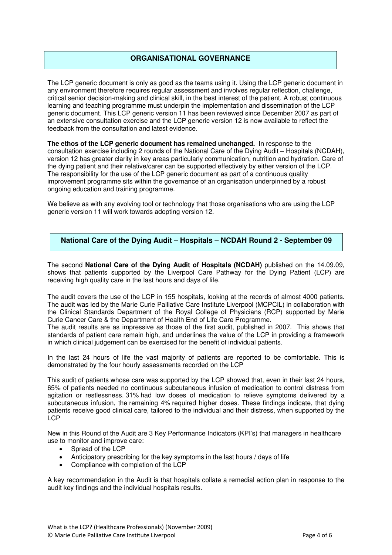## **ORGANISATIONAL GOVERNANCE**

The LCP generic document is only as good as the teams using it. Using the LCP generic document in any environment therefore requires regular assessment and involves regular reflection, challenge, critical senior decision-making and clinical skill, in the best interest of the patient. A robust continuous learning and teaching programme must underpin the implementation and dissemination of the LCP generic document. This LCP generic version 11 has been reviewed since December 2007 as part of an extensive consultation exercise and the LCP generic version 12 is now available to reflect the feedback from the consultation and latest evidence.

**The ethos of the LCP generic document has remained unchanged.** In response to the consultation exercise including 2 rounds of the National Care of the Dying Audit – Hospitals (NCDAH), version 12 has greater clarity in key areas particularly communication, nutrition and hydration. Care of the dying patient and their relative/carer can be supported effectively by either version of the LCP. The responsibility for the use of the LCP generic document as part of a continuous quality improvement programme sits within the governance of an organisation underpinned by a robust ongoing education and training programme.

We believe as with any evolving tool or technology that those organisations who are using the LCP generic version 11 will work towards adopting version 12.

## **National Care of the Dying Audit – Hospitals – NCDAH Round 2 - September 09**

The second **National Care of the Dying Audit of Hospitals (NCDAH)** published on the 14.09.09, shows that patients supported by the Liverpool Care Pathway for the Dying Patient (LCP) are receiving high quality care in the last hours and days of life.

The audit covers the use of the LCP in 155 hospitals, looking at the records of almost 4000 patients. The audit was led by the Marie Curie Palliative Care Institute Liverpool (MCPCIL) in collaboration with the Clinical Standards Department of the Royal College of Physicians (RCP) supported by Marie Curie Cancer Care & the Department of Health End of Life Care Programme.

The audit results are as impressive as those of the first audit, published in 2007. This shows that standards of patient care remain high, and underlines the value of the LCP in providing a framework in which clinical judgement can be exercised for the benefit of individual patients.

In the last 24 hours of life the vast majority of patients are reported to be comfortable. This is demonstrated by the four hourly assessments recorded on the LCP

This audit of patients whose care was supported by the LCP showed that, even in their last 24 hours, 65% of patients needed no continuous subcutaneous infusion of medication to control distress from agitation or restlessness. 31% had low doses of medication to relieve symptoms delivered by a subcutaneous infusion, the remaining 4% required higher doses. These findings indicate, that dying patients receive good clinical care, tailored to the individual and their distress, when supported by the LCP

New in this Round of the Audit are 3 Key Performance Indicators (KPI's) that managers in healthcare use to monitor and improve care:

- Spread of the LCP
- Anticipatory prescribing for the key symptoms in the last hours / days of life
- Compliance with completion of the LCP

A key recommendation in the Audit is that hospitals collate a remedial action plan in response to the audit key findings and the individual hospitals results.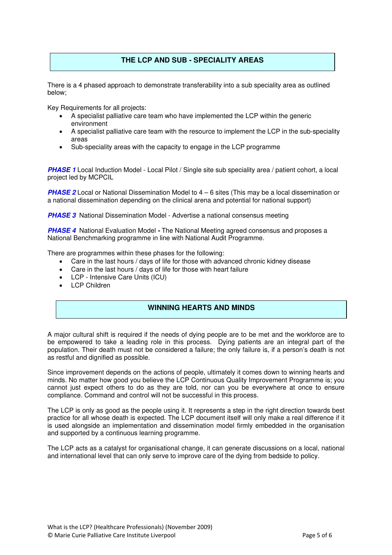## **THE LCP AND SUB - SPECIALITY AREAS**

There is a 4 phased approach to demonstrate transferability into a sub speciality area as outlined below;

Key Requirements for all projects:

- A specialist palliative care team who have implemented the LCP within the generic environment
- A specialist palliative care team with the resource to implement the LCP in the sub-speciality areas
- Sub-speciality areas with the capacity to engage in the LCP programme

**PHASE 1** Local Induction Model - Local Pilot / Single site sub speciality area / patient cohort, a local project led by MCPCIL

**PHASE 2** Local or National Dissemination Model to 4 – 6 sites (This may be a local dissemination or a national dissemination depending on the clinical arena and potential for national support)

**PHASE 3** National Dissemination Model - Advertise a national consensus meeting

**PHASE 4** National Evaluation Model **-** The National Meeting agreed consensus and proposes a National Benchmarking programme in line with National Audit Programme.

There are programmes within these phases for the following:

- Care in the last hours / days of life for those with advanced chronic kidney disease
- Care in the last hours / days of life for those with heart failure
- LCP Intensive Care Units (ICU)
- LCP Children

## **WINNING HEARTS AND MINDS**

A major cultural shift is required if the needs of dying people are to be met and the workforce are to be empowered to take a leading role in this process. Dying patients are an integral part of the population. Their death must not be considered a failure; the only failure is, if a person's death is not as restful and dignified as possible.

Since improvement depends on the actions of people, ultimately it comes down to winning hearts and minds. No matter how good you believe the LCP Continuous Quality Improvement Programme is; you cannot just expect others to do as they are told, nor can you be everywhere at once to ensure compliance. Command and control will not be successful in this process.

The LCP is only as good as the people using it. It represents a step in the right direction towards best practice for all whose death is expected. The LCP document itself will only make a real difference if it is used alongside an implementation and dissemination model firmly embedded in the organisation and supported by a continuous learning programme.

The LCP acts as a catalyst for organisational change, it can generate discussions on a local, national and international level that can only serve to improve care of the dying from bedside to policy.